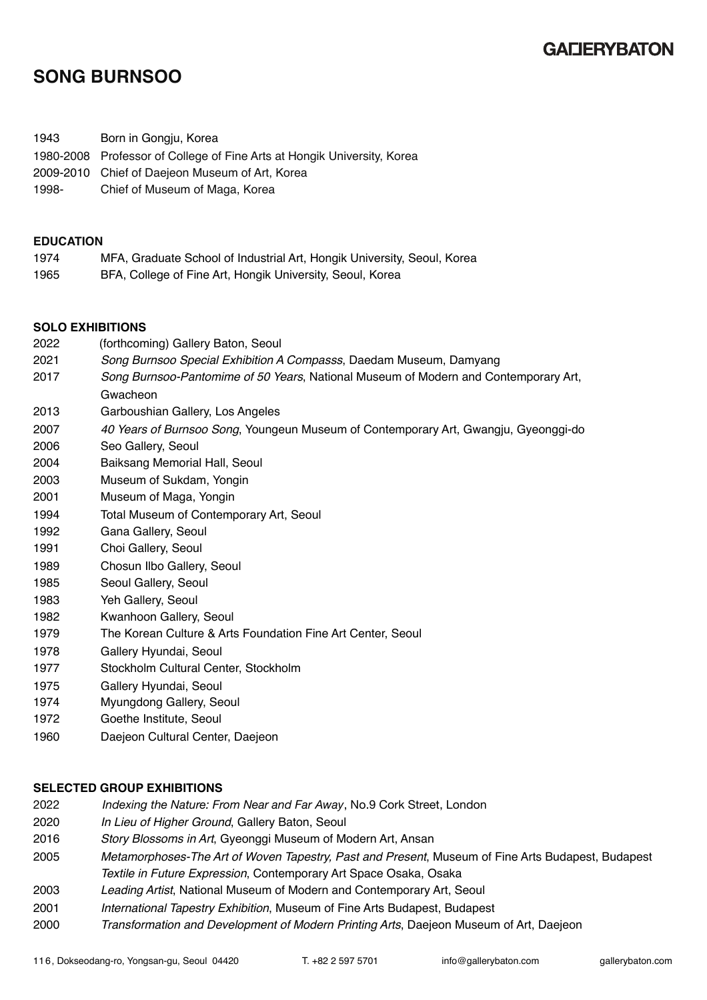### **GALIERYBATON**

# **SONG BURNSOO**

| 1943  | Born in Gongju, Korea                                                   |
|-------|-------------------------------------------------------------------------|
|       | 1980-2008 Professor of College of Fine Arts at Hongik University, Korea |
|       | 2009-2010 Chief of Daejeon Museum of Art, Korea                         |
| 1998- | Chief of Museum of Maga, Korea                                          |

#### **EDUCATION**

1974 MFA, Graduate School of Industrial Art, Hongik University, Seoul, Korea 1965 BFA, College of Fine Art, Hongik University, Seoul, Korea

#### **SOLO EXHIBITIONS**

- 2022 (forthcoming) Gallery Baton, Seoul
- 2021 *Song Burnsoo Special Exhibition A Compasss*, Daedam Museum, Damyang
- 2017 *Song Burnsoo-Pantomime of 50 Years*, National Museum of Modern and Contemporary Art,
- Gwacheon
- 2013 Garboushian Gallery, Los Angeles
- 2007 *40 Years of Burnsoo Song*, Youngeun Museum of Contemporary Art, Gwangju, Gyeonggi-do
- 2006 Seo Gallery, Seoul
- 2004 Baiksang Memorial Hall, Seoul
- 2003 Museum of Sukdam, Yongin
- 2001 Museum of Maga, Yongin
- 1994 Total Museum of Contemporary Art, Seoul
- 1992 Gana Gallery, Seoul
- 1991 Choi Gallery, Seoul
- 1989 Chosun Ilbo Gallery, Seoul
- 1985 Seoul Gallery, Seoul
- 1983 Yeh Gallery, Seoul
- 1982 Kwanhoon Gallery, Seoul
- 1979 The Korean Culture & Arts Foundation Fine Art Center, Seoul
- 1978 Gallery Hyundai, Seoul
- 1977 Stockholm Cultural Center, Stockholm
- 1975 Gallery Hyundai, Seoul
- 1974 Myungdong Gallery, Seoul
- 1972 Goethe Institute, Seoul
- 1960 Daejeon Cultural Center, Daejeon

### **SELECTED GROUP EXHIBITIONS**

| 2022 | Indexing the Nature: From Near and Far Away, No.9 Cork Street, London                             |
|------|---------------------------------------------------------------------------------------------------|
| 2020 | In Lieu of Higher Ground, Gallery Baton, Seoul                                                    |
| 2016 | Story Blossoms in Art, Gyeonggi Museum of Modern Art, Ansan                                       |
| 2005 | Metamorphoses-The Art of Woven Tapestry, Past and Present, Museum of Fine Arts Budapest, Budapest |
|      | Textile in Future Expression, Contemporary Art Space Osaka, Osaka                                 |
| 2003 | Leading Artist, National Museum of Modern and Contemporary Art, Seoul                             |
| 2001 | International Tapestry Exhibition, Museum of Fine Arts Budapest, Budapest                         |
| 2000 | Transformation and Development of Modern Printing Arts, Daejeon Museum of Art, Daejeon            |